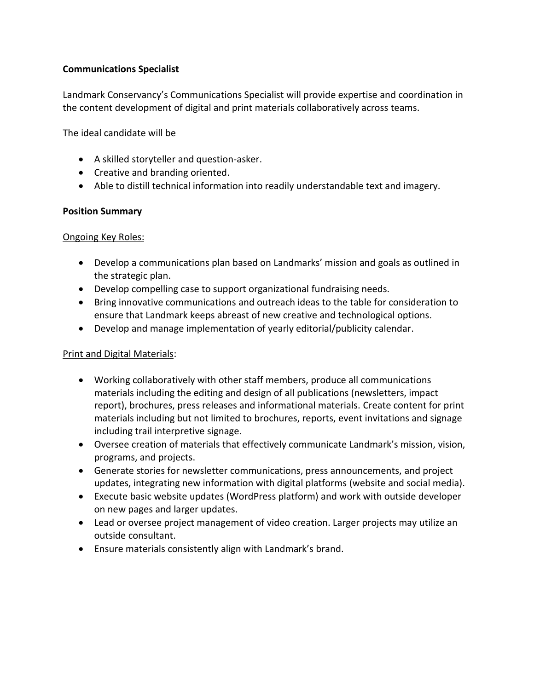# **Communications Specialist**

Landmark Conservancy's Communications Specialist will provide expertise and coordination in the content development of digital and print materials collaboratively across teams.

The ideal candidate will be

- A skilled storyteller and question-asker.
- Creative and branding oriented.
- Able to distill technical information into readily understandable text and imagery.

### **Position Summary**

### Ongoing Key Roles:

- Develop a communications plan based on Landmarks' mission and goals as outlined in the strategic plan.
- Develop compelling case to support organizational fundraising needs.
- Bring innovative communications and outreach ideas to the table for consideration to ensure that Landmark keeps abreast of new creative and technological options.
- Develop and manage implementation of yearly editorial/publicity calendar.

### Print and Digital Materials:

- Working collaboratively with other staff members, produce all communications materials including the editing and design of all publications (newsletters, impact report), brochures, press releases and informational materials. Create content for print materials including but not limited to brochures, reports, event invitations and signage including trail interpretive signage.
- Oversee creation of materials that effectively communicate Landmark's mission, vision, programs, and projects.
- Generate stories for newsletter communications, press announcements, and project updates, integrating new information with digital platforms (website and social media).
- Execute basic website updates (WordPress platform) and work with outside developer on new pages and larger updates.
- Lead or oversee project management of video creation. Larger projects may utilize an outside consultant.
- Ensure materials consistently align with Landmark's brand.